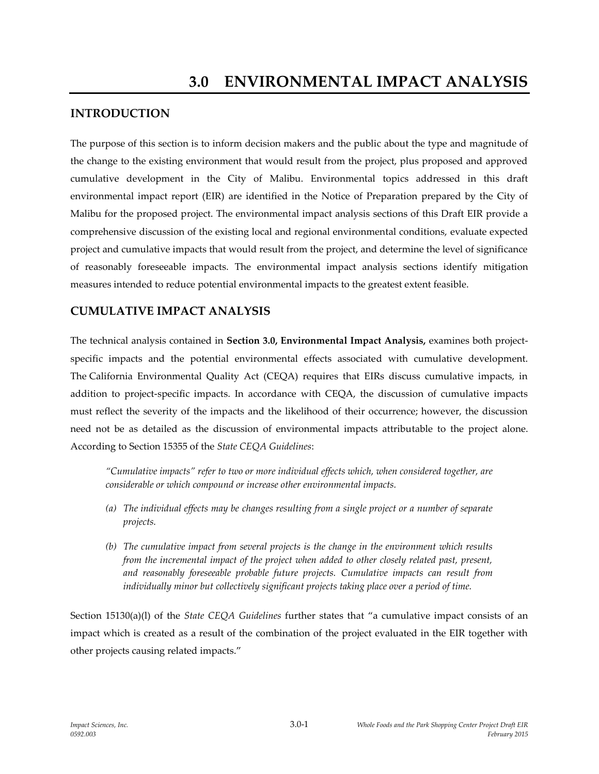## **INTRODUCTION**

The purpose of this section is to inform decision makers and the public about the type and magnitude of the change to the existing environment that would result from the project, plus proposed and approved cumulative development in the City of Malibu. Environmental topics addressed in this draft environmental impact report (EIR) are identified in the Notice of Preparation prepared by the City of Malibu for the proposed project. The environmental impact analysis sections of this Draft EIR provide a comprehensive discussion of the existing local and regional environmental conditions, evaluate expected project and cumulative impacts that would result from the project, and determine the level of significance of reasonably foreseeable impacts. The environmental impact analysis sections identify mitigation measures intended to reduce potential environmental impacts to the greatest extent feasible.

## **CUMULATIVE IMPACT ANALYSIS**

The technical analysis contained in **Section 3.0, Environmental Impact Analysis,** examines both projectspecific impacts and the potential environmental effects associated with cumulative development. The California Environmental Quality Act (CEQA) requires that EIRs discuss cumulative impacts, in addition to project-specific impacts. In accordance with CEQA, the discussion of cumulative impacts must reflect the severity of the impacts and the likelihood of their occurrence; however, the discussion need not be as detailed as the discussion of environmental impacts attributable to the project alone. According to Section 15355 of the *State CEQA Guidelines*:

*"Cumulative impacts" refer to two or more individual effects which, when considered together, are considerable or which compound or increase other environmental impacts.*

- *(a) The individual effects may be changes resulting from a single project or a number of separate projects.*
- *(b) The cumulative impact from several projects is the change in the environment which results from the incremental impact of the project when added to other closely related past, present, and reasonably foreseeable probable future projects. Cumulative impacts can result from individually minor but collectively significant projects taking place over a period of time.*

Section 15130(a)(l) of the *State CEQA Guidelines* further states that "a cumulative impact consists of an impact which is created as a result of the combination of the project evaluated in the EIR together with other projects causing related impacts."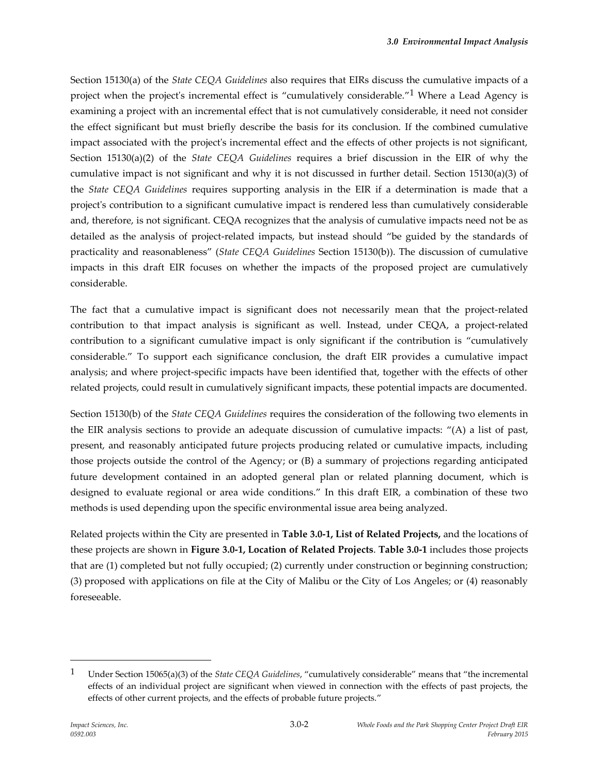Section 15130(a) of the *State CEQA Guidelines* also requires that EIRs discuss the cumulative impacts of a project when the project's incremental effect is "cumulatively considerable."<sup>1</sup> Where a Lead Agency is examining a project with an incremental effect that is not cumulatively considerable, it need not consider the effect significant but must briefly describe the basis for its conclusion. If the combined cumulative impact associated with the project's incremental effect and the effects of other projects is not significant, Section 15130(a)(2) of the *State CEQA Guidelines* requires a brief discussion in the EIR of why the cumulative impact is not significant and why it is not discussed in further detail. Section 15130(a)(3) of the *State CEQA Guidelines* requires supporting analysis in the EIR if a determination is made that a project's contribution to a significant cumulative impact is rendered less than cumulatively considerable and, therefore, is not significant. CEQA recognizes that the analysis of cumulative impacts need not be as detailed as the analysis of project-related impacts, but instead should "be guided by the standards of practicality and reasonableness" (*State CEQA Guidelines* Section 15130(b)). The discussion of cumulative impacts in this draft EIR focuses on whether the impacts of the proposed project are cumulatively considerable.

The fact that a cumulative impact is significant does not necessarily mean that the project-related contribution to that impact analysis is significant as well. Instead, under CEQA, a project-related contribution to a significant cumulative impact is only significant if the contribution is "cumulatively considerable." To support each significance conclusion, the draft EIR provides a cumulative impact analysis; and where project-specific impacts have been identified that, together with the effects of other related projects, could result in cumulatively significant impacts, these potential impacts are documented.

Section 15130(b) of the *State CEQA Guidelines* requires the consideration of the following two elements in the EIR analysis sections to provide an adequate discussion of cumulative impacts: "(A) a list of past, present, and reasonably anticipated future projects producing related or cumulative impacts, including those projects outside the control of the Agency; or (B) a summary of projections regarding anticipated future development contained in an adopted general plan or related planning document, which is designed to evaluate regional or area wide conditions." In this draft EIR, a combination of these two methods is used depending upon the specific environmental issue area being analyzed.

Related projects within the City are presented in **Table 3.0-1, List of Related Projects,** and the locations of these projects are shown in **Figure 3.0-1, Location of Related Projects**. **Table 3.0-1** includes those projects that are (1) completed but not fully occupied; (2) currently under construction or beginning construction; (3) proposed with applications on file at the City of Malibu or the City of Los Angeles; or (4) reasonably foreseeable.

1

<sup>1</sup> Under Section 15065(a)(3) of the *State CEQA Guidelines*, "cumulatively considerable" means that "the incremental effects of an individual project are significant when viewed in connection with the effects of past projects, the effects of other current projects, and the effects of probable future projects."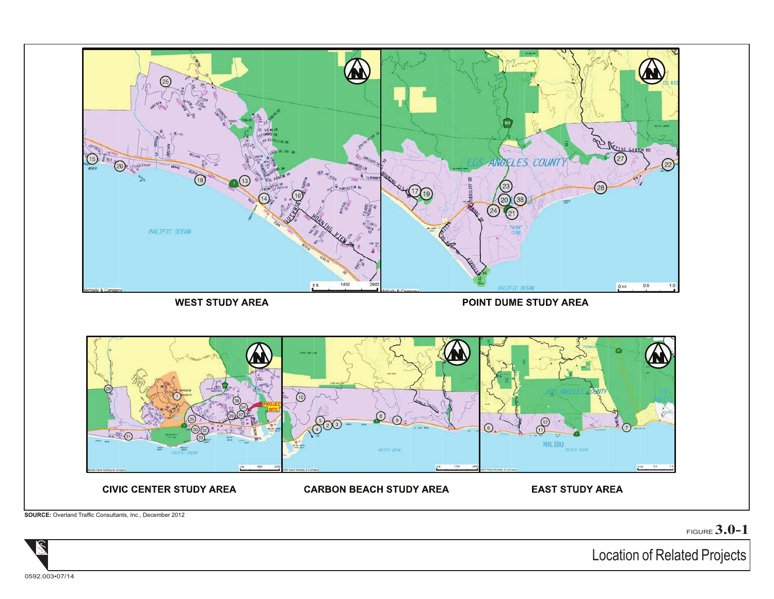

FIGURE **3.0-1**

Location of Related Projects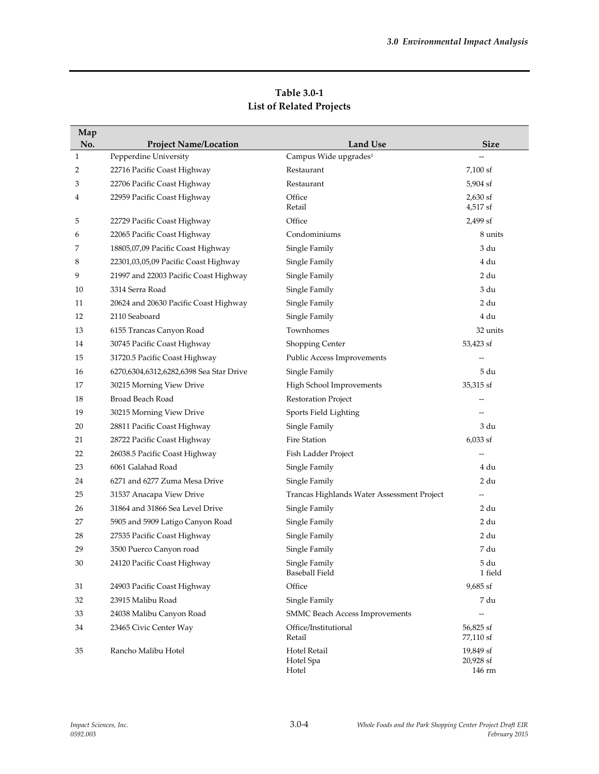| Map          |                                         |                                            |                                  |
|--------------|-----------------------------------------|--------------------------------------------|----------------------------------|
| No.          | <b>Project Name/Location</b>            | <b>Land Use</b>                            | <b>Size</b>                      |
| $\mathbf{1}$ | Pepperdine University                   | Campus Wide upgrades <sup>1</sup>          |                                  |
| 2            | 22716 Pacific Coast Highway             | Restaurant                                 | 7,100 sf                         |
| 3            | 22706 Pacific Coast Highway             | Restaurant                                 | 5,904 sf                         |
| 4            | 22959 Pacific Coast Highway             | Office<br>Retail                           | $2,630$ sf<br>4,517 sf           |
| 5            | 22729 Pacific Coast Highway             | Office                                     | 2,499 sf                         |
| 6            | 22065 Pacific Coast Highway             | Condominiums                               | 8 units                          |
| 7            | 18805,07,09 Pacific Coast Highway       | Single Family                              | 3 du                             |
| 8            | 22301,03,05,09 Pacific Coast Highway    | Single Family                              | 4 du                             |
| 9            | 21997 and 22003 Pacific Coast Highway   | Single Family                              | 2 du                             |
| 10           | 3314 Serra Road                         | Single Family                              | 3 du                             |
| 11           | 20624 and 20630 Pacific Coast Highway   | Single Family                              | 2 du                             |
| 12           | 2110 Seaboard                           | Single Family                              | 4 du                             |
| 13           | 6155 Trancas Canyon Road                | Townhomes                                  | 32 units                         |
| 14           | 30745 Pacific Coast Highway             | Shopping Center                            | 53,423 sf                        |
| 15           | 31720.5 Pacific Coast Highway           | Public Access Improvements                 |                                  |
| 16           | 6270,6304,6312,6282,6398 Sea Star Drive | Single Family                              | 5 du                             |
| 17           | 30215 Morning View Drive                | High School Improvements                   | 35,315 sf                        |
| 18           | Broad Beach Road                        | Restoration Project                        |                                  |
| 19           | 30215 Morning View Drive                | Sports Field Lighting                      |                                  |
| 20           | 28811 Pacific Coast Highway             | Single Family                              | 3 du                             |
| 21           | 28722 Pacific Coast Highway             | Fire Station                               | $6,033$ sf                       |
| 22           | 26038.5 Pacific Coast Highway           | Fish Ladder Project                        |                                  |
| 23           | 6061 Galahad Road                       | Single Family                              | 4 du                             |
| 24           | 6271 and 6277 Zuma Mesa Drive           | Single Family                              | 2 du                             |
| 25           | 31537 Anacapa View Drive                | Trancas Highlands Water Assessment Project | --                               |
| 26           | 31864 and 31866 Sea Level Drive         | Single Family                              | 2 du                             |
| 27           | 5905 and 5909 Latigo Canyon Road        | Single Family                              | 2 du                             |
| 28           | 27535 Pacific Coast Highway             | Single Family                              | 2 du                             |
| 29           | 3500 Puerco Canyon road                 | Single Family                              | 7 du                             |
| 30           | 24120 Pacific Coast Highway             | Single Family<br>Baseball Field            | 5 du<br>1 field                  |
| 31           | 24903 Pacific Coast Highway             | Office                                     | 9,685 sf                         |
| 32           | 23915 Malibu Road                       | Single Family                              | 7 du                             |
| 33           | 24038 Malibu Canyon Road                | <b>SMMC Beach Access Improvements</b>      | $-$                              |
| 34           | 23465 Civic Center Way                  | Office/Institutional<br>Retail             | 56,825 sf<br>77,110 sf           |
| 35           | Rancho Malibu Hotel                     | Hotel Retail<br>Hotel Spa<br>Hotel         | 19,849 sf<br>20,928 sf<br>146 rm |

**Table 3.0-1 List of Related Projects**